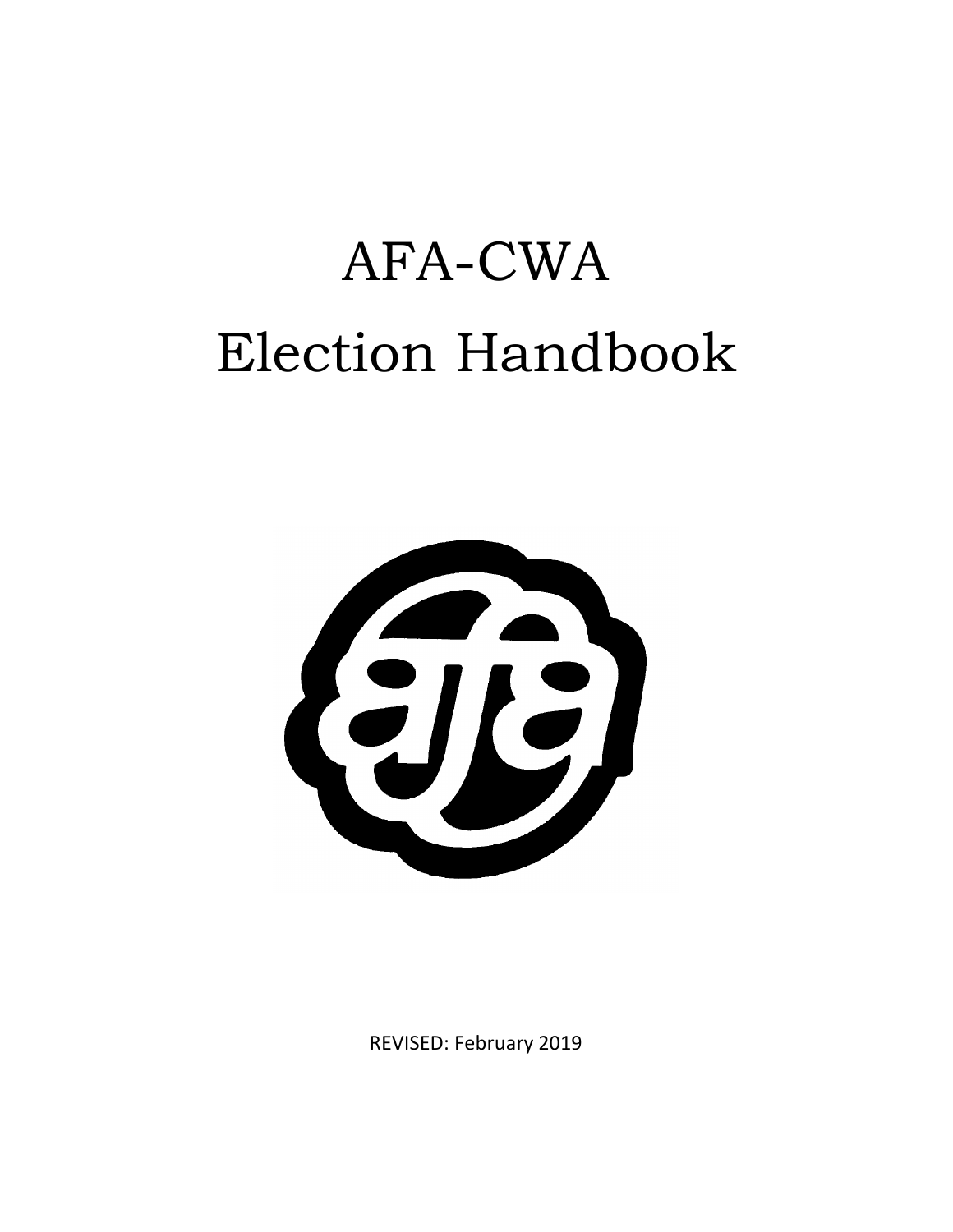# AFA-CWA Election Handbook



REVISED: February 2019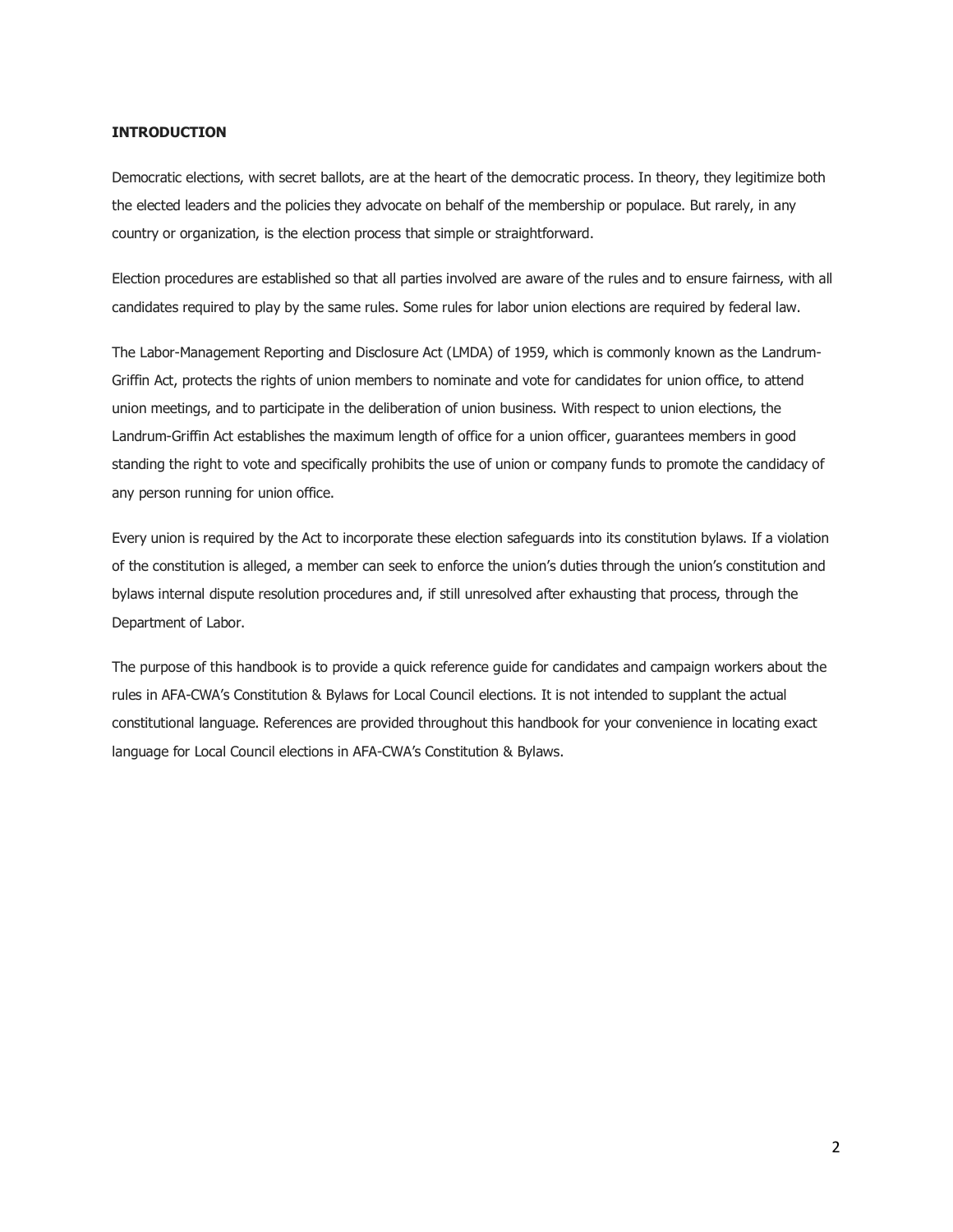# **INTRODUCTION**

Democratic elections, with secret ballots, are at the heart of the democratic process. In theory, they legitimize both the elected leaders and the policies they advocate on behalf of the membership or populace. But rarely, in any country or organization, is the election process that simple or straightforward.

Election procedures are established so that all parties involved are aware of the rules and to ensure fairness, with all candidates required to play by the same rules. Some rules for labor union elections are required by federal law.

The Labor-Management Reporting and Disclosure Act (LMDA) of 1959, which is commonly known as the Landrum-Griffin Act, protects the rights of union members to nominate and vote for candidates for union office, to attend union meetings, and to participate in the deliberation of union business. With respect to union elections, the Landrum-Griffin Act establishes the maximum length of office for a union officer, guarantees members in good standing the right to vote and specifically prohibits the use of union or company funds to promote the candidacy of any person running for union office.

Every union is required by the Act to incorporate these election safeguards into its constitution bylaws. If a violation of the constitution is alleged, a member can seek to enforce the union's duties through the union's constitution and bylaws internal dispute resolution procedures and, if still unresolved after exhausting that process, through the Department of Labor.

The purpose of this handbook is to provide a quick reference guide for candidates and campaign workers about the rules in AFA-CWA's Constitution & Bylaws for Local Council elections. It is not intended to supplant the actual constitutional language. References are provided throughout this handbook for your convenience in locating exact language for Local Council elections in AFA-CWA's Constitution & Bylaws.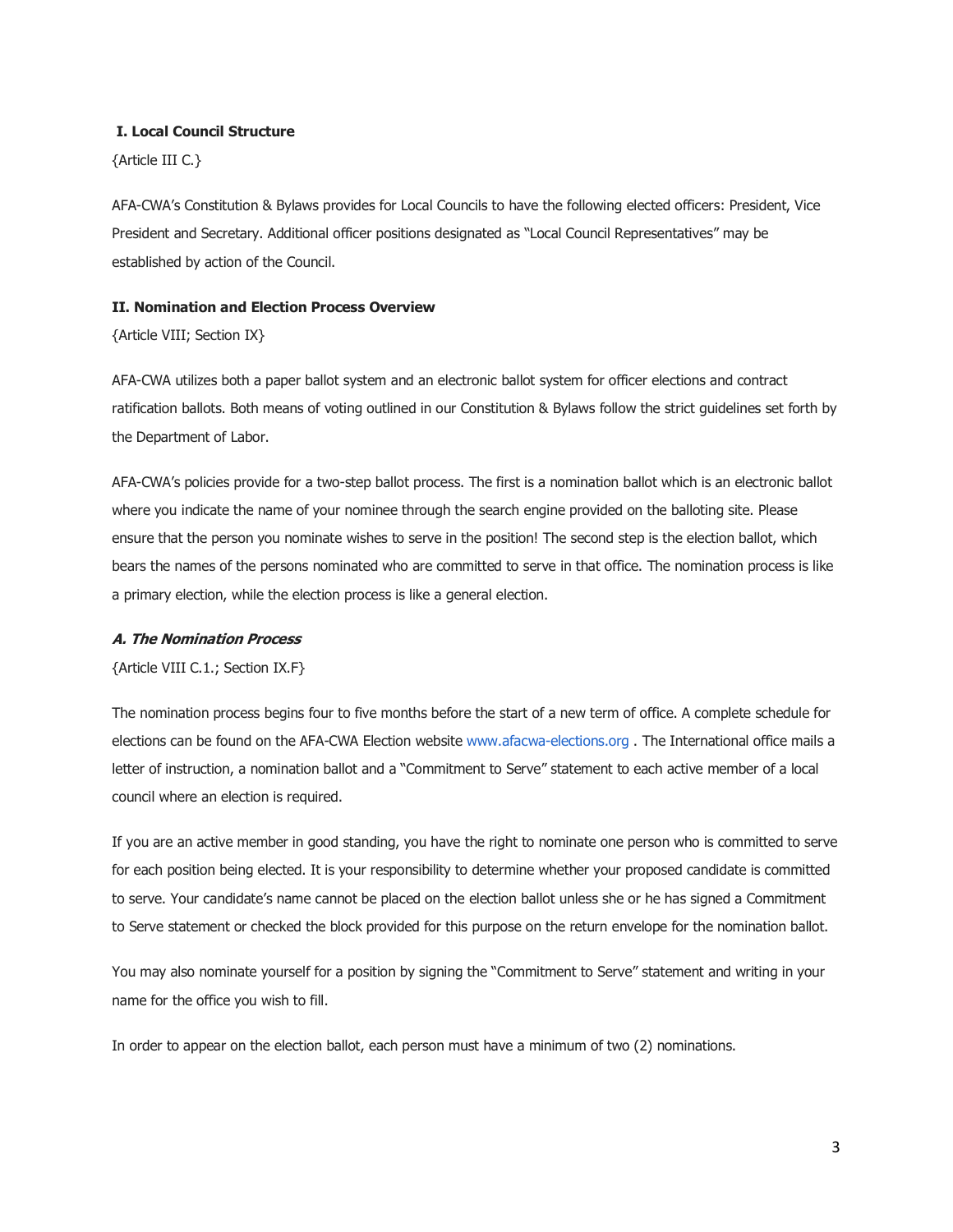## **I. Local Council Structure**

{Article III C.}

AFA-CWA's Constitution & Bylaws provides for Local Councils to have the following elected officers: President, Vice President and Secretary. Additional officer positions designated as "Local Council Representatives" may be established by action of the Council.

## **II. Nomination and Election Process Overview**

{Article VIII; Section IX}

AFA-CWA utilizes both a paper ballot system and an electronic ballot system for officer elections and contract ratification ballots. Both means of voting outlined in our Constitution & Bylaws follow the strict guidelines set forth by the Department of Labor.

AFA-CWA's policies provide for a two-step ballot process. The first is a nomination ballot which is an electronic ballot where you indicate the name of your nominee through the search engine provided on the balloting site. Please ensure that the person you nominate wishes to serve in the position! The second step is the election ballot, which bears the names of the persons nominated who are committed to serve in that office. The nomination process is like a primary election, while the election process is like a general election.

#### **A. The Nomination Process**

{Article VIII C.1.; Section IX.F}

The nomination process begins four to five months before the start of a new term of office. A complete schedule for elections can be found on the AFA-CWA Election website www.afacwa-elections.org . The International office mails a letter of instruction, a nomination ballot and a "Commitment to Serve" statement to each active member of a local council where an election is required.

If you are an active member in good standing, you have the right to nominate one person who is committed to serve for each position being elected. It is your responsibility to determine whether your proposed candidate is committed to serve. Your candidate's name cannot be placed on the election ballot unless she or he has signed a Commitment to Serve statement or checked the block provided for this purpose on the return envelope for the nomination ballot.

You may also nominate yourself for a position by signing the "Commitment to Serve" statement and writing in your name for the office you wish to fill.

In order to appear on the election ballot, each person must have a minimum of two (2) nominations.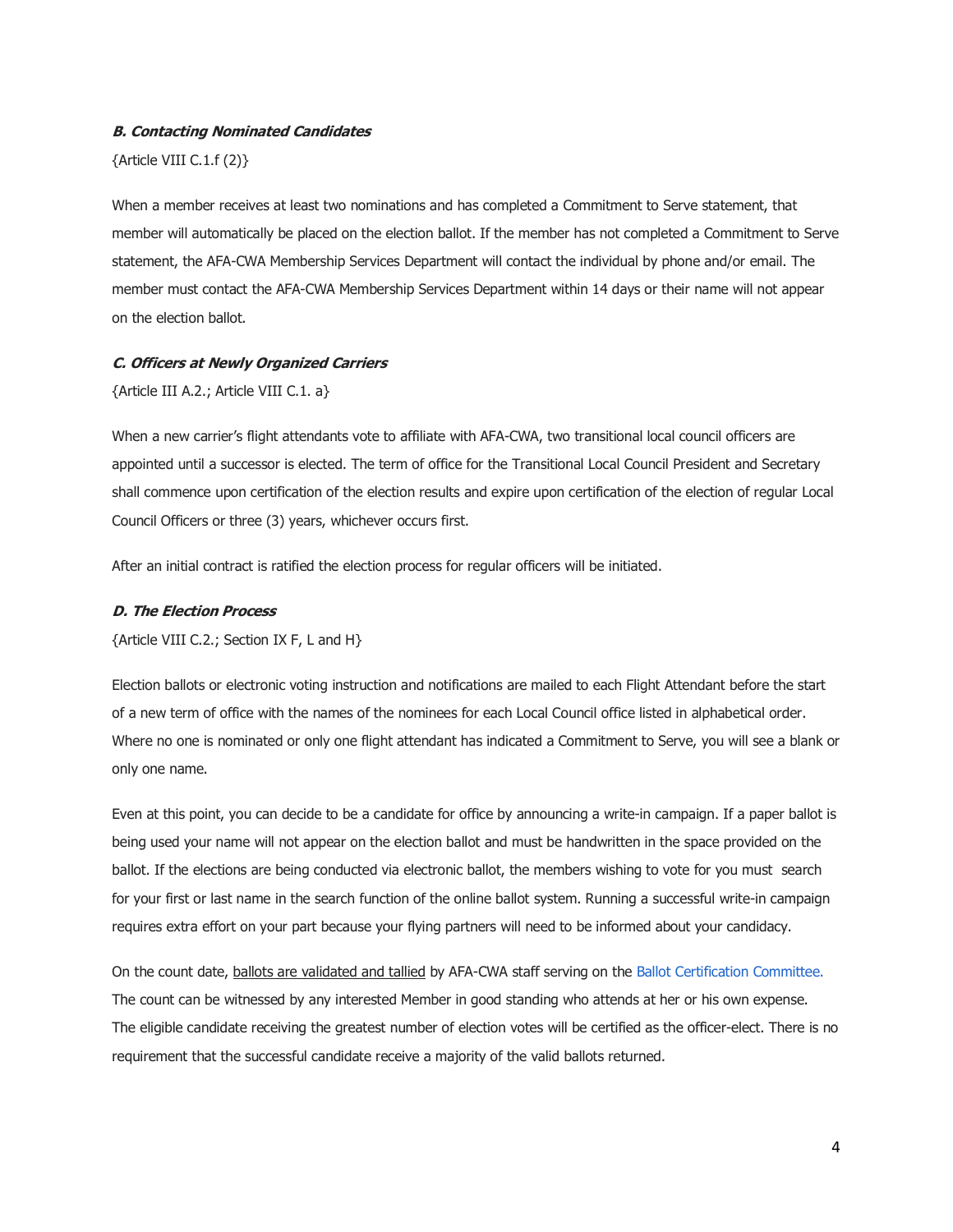#### **B. Contacting Nominated Candidates**

# {Article VIII C.1.f (2)}

When a member receives at least two nominations and has completed a Commitment to Serve statement, that member will automatically be placed on the election ballot. If the member has not completed a Commitment to Serve statement, the AFA-CWA Membership Services Department will contact the individual by phone and/or email. The member must contact the AFA-CWA Membership Services Department within 14 days or their name will not appear on the election ballot.

#### **C. Officers at Newly Organized Carriers**

{Article III A.2.; Article VIII C.1. a}

When a new carrier's flight attendants vote to affiliate with AFA-CWA, two transitional local council officers are appointed until a successor is elected. The term of office for the Transitional Local Council President and Secretary shall commence upon certification of the election results and expire upon certification of the election of regular Local Council Officers or three (3) years, whichever occurs first.

After an initial contract is ratified the election process for regular officers will be initiated.

#### **D. The Election Process**

{Article VIII C.2.; Section IX F, L and H}

Election ballots or electronic voting instruction and notifications are mailed to each Flight Attendant before the start of a new term of office with the names of the nominees for each Local Council office listed in alphabetical order. Where no one is nominated or only one flight attendant has indicated a Commitment to Serve, you will see a blank or only one name.

Even at this point, you can decide to be a candidate for office by announcing a write-in campaign. If a paper ballot is being used your name will not appear on the election ballot and must be handwritten in the space provided on the ballot. If the elections are being conducted via electronic ballot, the members wishing to vote for you must search for your first or last name in the search function of the online ballot system. Running a successful write-in campaign requires extra effort on your part because your flying partners will need to be informed about your candidacy.

On the count date, ballots are validated and tallied by AFA-CWA staff serving on the Ballot Certification Committee. The count can be witnessed by any interested Member in good standing who attends at her or his own expense. The eligible candidate receiving the greatest number of election votes will be certified as the officer-elect. There is no requirement that the successful candidate receive a majority of the valid ballots returned.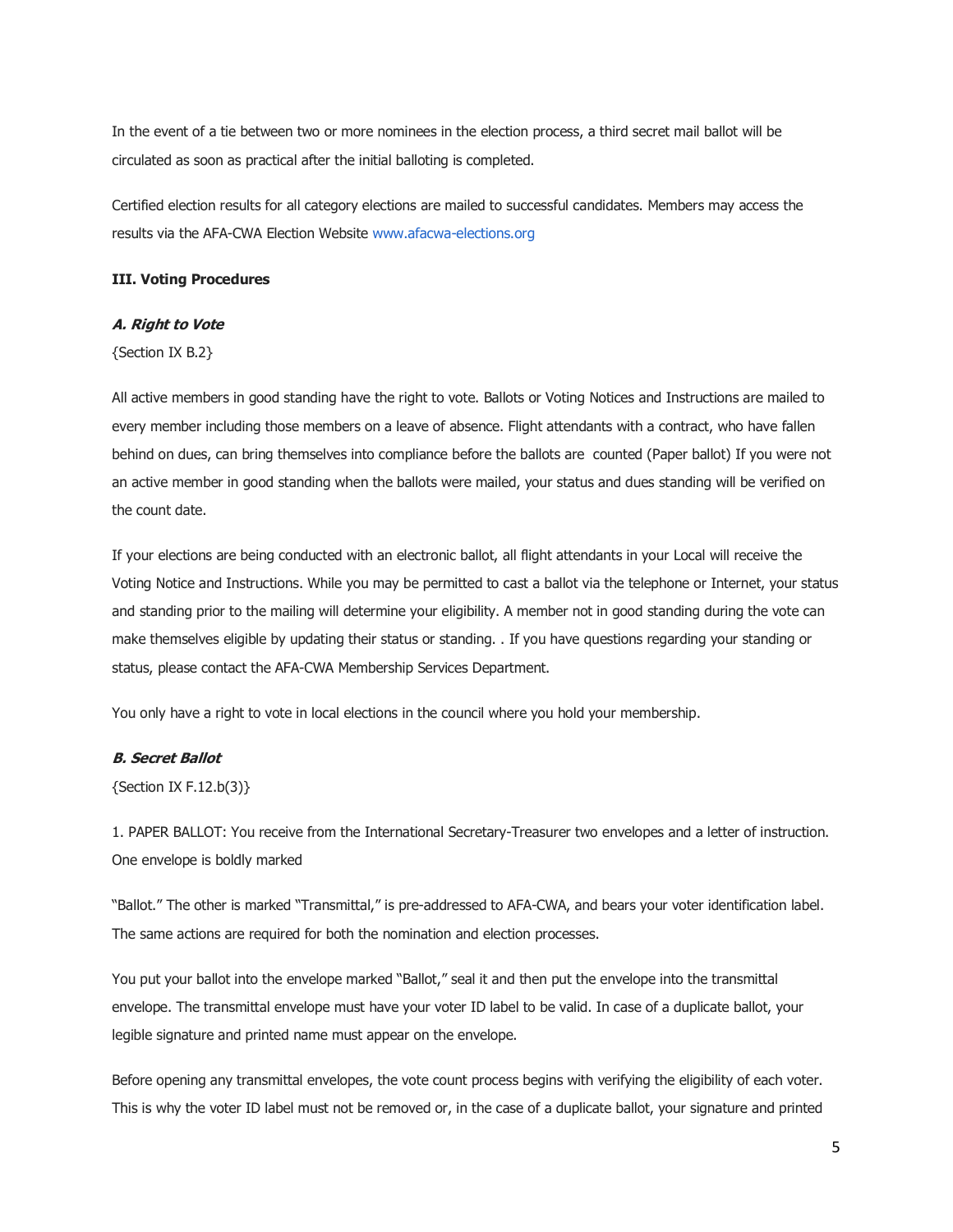In the event of a tie between two or more nominees in the election process, a third secret mail ballot will be circulated as soon as practical after the initial balloting is completed.

Certified election results for all category elections are mailed to successful candidates. Members may access the results via the AFA-CWA Election Website www.afacwa-elections.org

# **III. Voting Procedures**

# **A. Right to Vote**

{Section IX B.2}

All active members in good standing have the right to vote. Ballots or Voting Notices and Instructions are mailed to every member including those members on a leave of absence. Flight attendants with a contract, who have fallen behind on dues, can bring themselves into compliance before the ballots are counted (Paper ballot) If you were not an active member in good standing when the ballots were mailed, your status and dues standing will be verified on the count date.

If your elections are being conducted with an electronic ballot, all flight attendants in your Local will receive the Voting Notice and Instructions. While you may be permitted to cast a ballot via the telephone or Internet, your status and standing prior to the mailing will determine your eligibility. A member not in good standing during the vote can make themselves eligible by updating their status or standing. . If you have questions regarding your standing or status, please contact the AFA-CWA Membership Services Department.

You only have a right to vote in local elections in the council where you hold your membership.

# **B. Secret Ballot**

{Section IX F.12.b(3)}

1. PAPER BALLOT: You receive from the International Secretary-Treasurer two envelopes and a letter of instruction. One envelope is boldly marked

"Ballot." The other is marked "Transmittal," is pre-addressed to AFA-CWA, and bears your voter identification label. The same actions are required for both the nomination and election processes.

You put your ballot into the envelope marked "Ballot," seal it and then put the envelope into the transmittal envelope. The transmittal envelope must have your voter ID label to be valid. In case of a duplicate ballot, your legible signature and printed name must appear on the envelope.

Before opening any transmittal envelopes, the vote count process begins with verifying the eligibility of each voter. This is why the voter ID label must not be removed or, in the case of a duplicate ballot, your signature and printed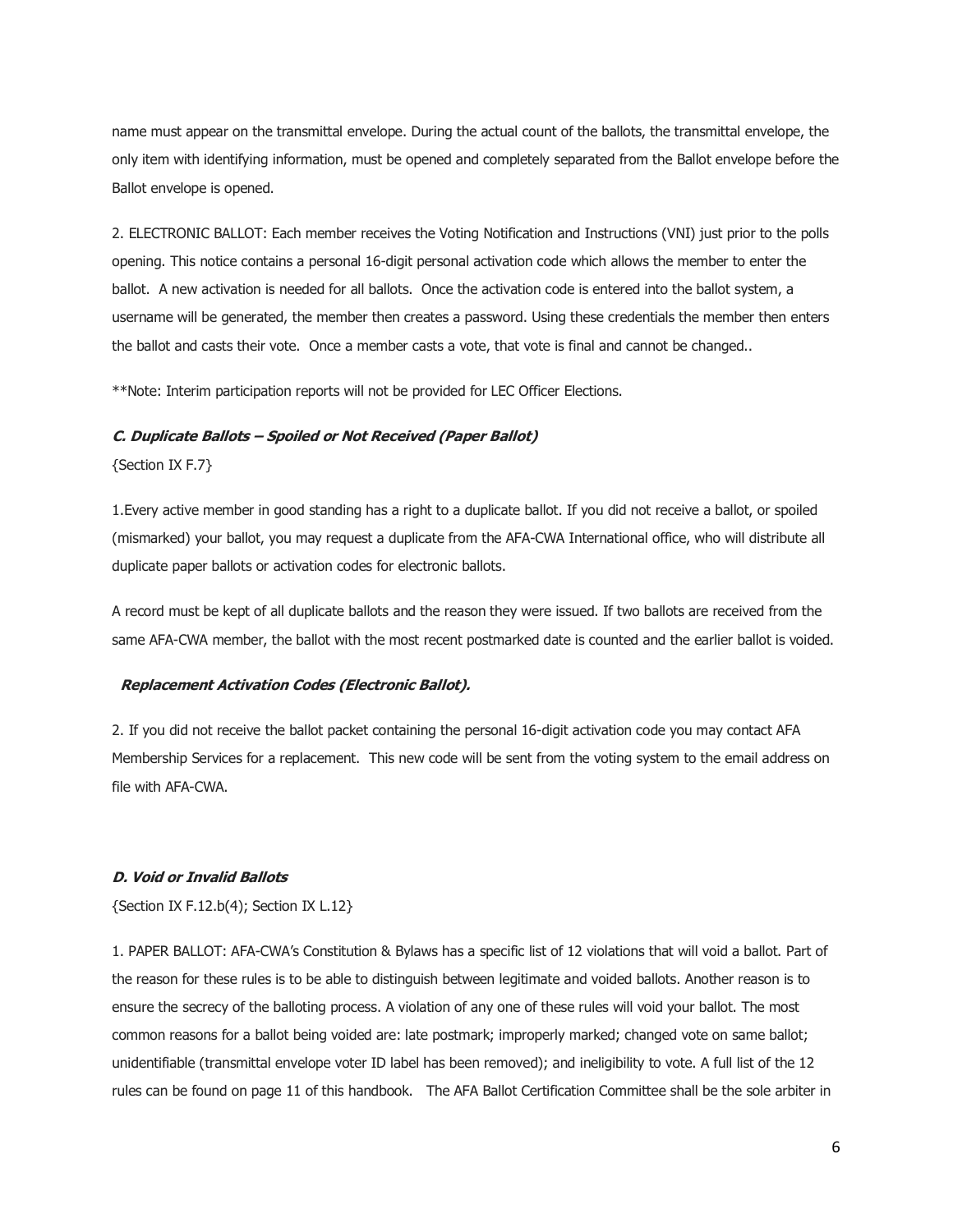name must appear on the transmittal envelope. During the actual count of the ballots, the transmittal envelope, the only item with identifying information, must be opened and completely separated from the Ballot envelope before the Ballot envelope is opened.

2. ELECTRONIC BALLOT: Each member receives the Voting Notification and Instructions (VNI) just prior to the polls opening. This notice contains a personal 16-digit personal activation code which allows the member to enter the ballot. A new activation is needed for all ballots. Once the activation code is entered into the ballot system, a username will be generated, the member then creates a password. Using these credentials the member then enters the ballot and casts their vote. Once a member casts a vote, that vote is final and cannot be changed..

\*\*Note: Interim participation reports will not be provided for LEC Officer Elections.

## **C. Duplicate Ballots – Spoiled or Not Received (Paper Ballot)**

{Section IX F.7}

1.Every active member in good standing has a right to a duplicate ballot. If you did not receive a ballot, or spoiled (mismarked) your ballot, you may request a duplicate from the AFA-CWA International office, who will distribute all duplicate paper ballots or activation codes for electronic ballots.

A record must be kept of all duplicate ballots and the reason they were issued. If two ballots are received from the same AFA-CWA member, the ballot with the most recent postmarked date is counted and the earlier ballot is voided.

#### **Replacement Activation Codes (Electronic Ballot).**

2. If you did not receive the ballot packet containing the personal 16-digit activation code you may contact AFA Membership Services for a replacement. This new code will be sent from the voting system to the email address on file with AFA-CWA.

#### **D. Void or Invalid Ballots**

{Section IX F.12.b(4); Section IX L.12}

1. PAPER BALLOT: AFA-CWA's Constitution & Bylaws has a specific list of 12 violations that will void a ballot. Part of the reason for these rules is to be able to distinguish between legitimate and voided ballots. Another reason is to ensure the secrecy of the balloting process. A violation of any one of these rules will void your ballot. The most common reasons for a ballot being voided are: late postmark; improperly marked; changed vote on same ballot; unidentifiable (transmittal envelope voter ID label has been removed); and ineligibility to vote. A full list of the 12 rules can be found on page 11 of this handbook. The AFA Ballot Certification Committee shall be the sole arbiter in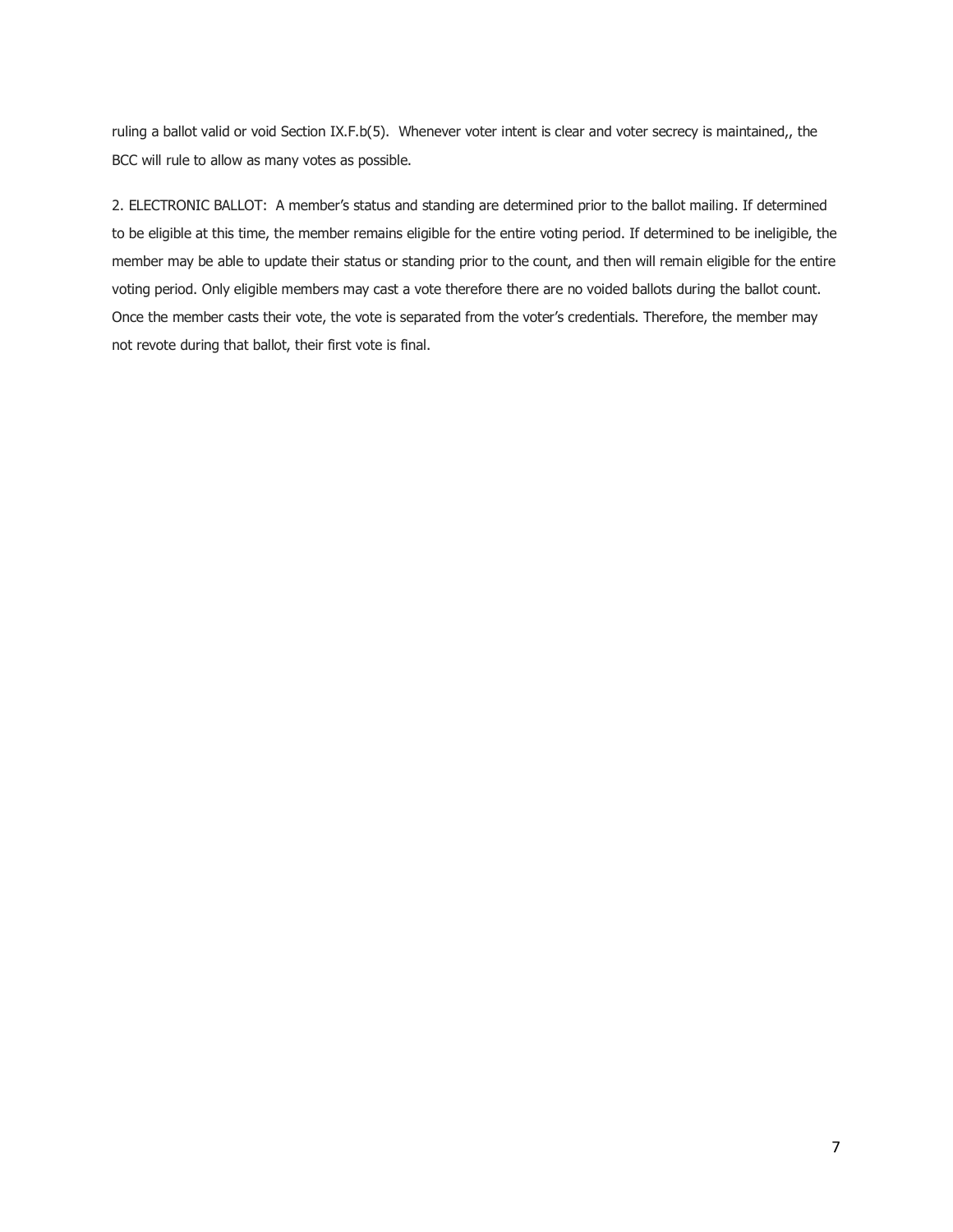ruling a ballot valid or void Section IX.F.b(5). Whenever voter intent is clear and voter secrecy is maintained,, the BCC will rule to allow as many votes as possible.

2. ELECTRONIC BALLOT: A member's status and standing are determined prior to the ballot mailing. If determined to be eligible at this time, the member remains eligible for the entire voting period. If determined to be ineligible, the member may be able to update their status or standing prior to the count, and then will remain eligible for the entire voting period. Only eligible members may cast a vote therefore there are no voided ballots during the ballot count. Once the member casts their vote, the vote is separated from the voter's credentials. Therefore, the member may not revote during that ballot, their first vote is final.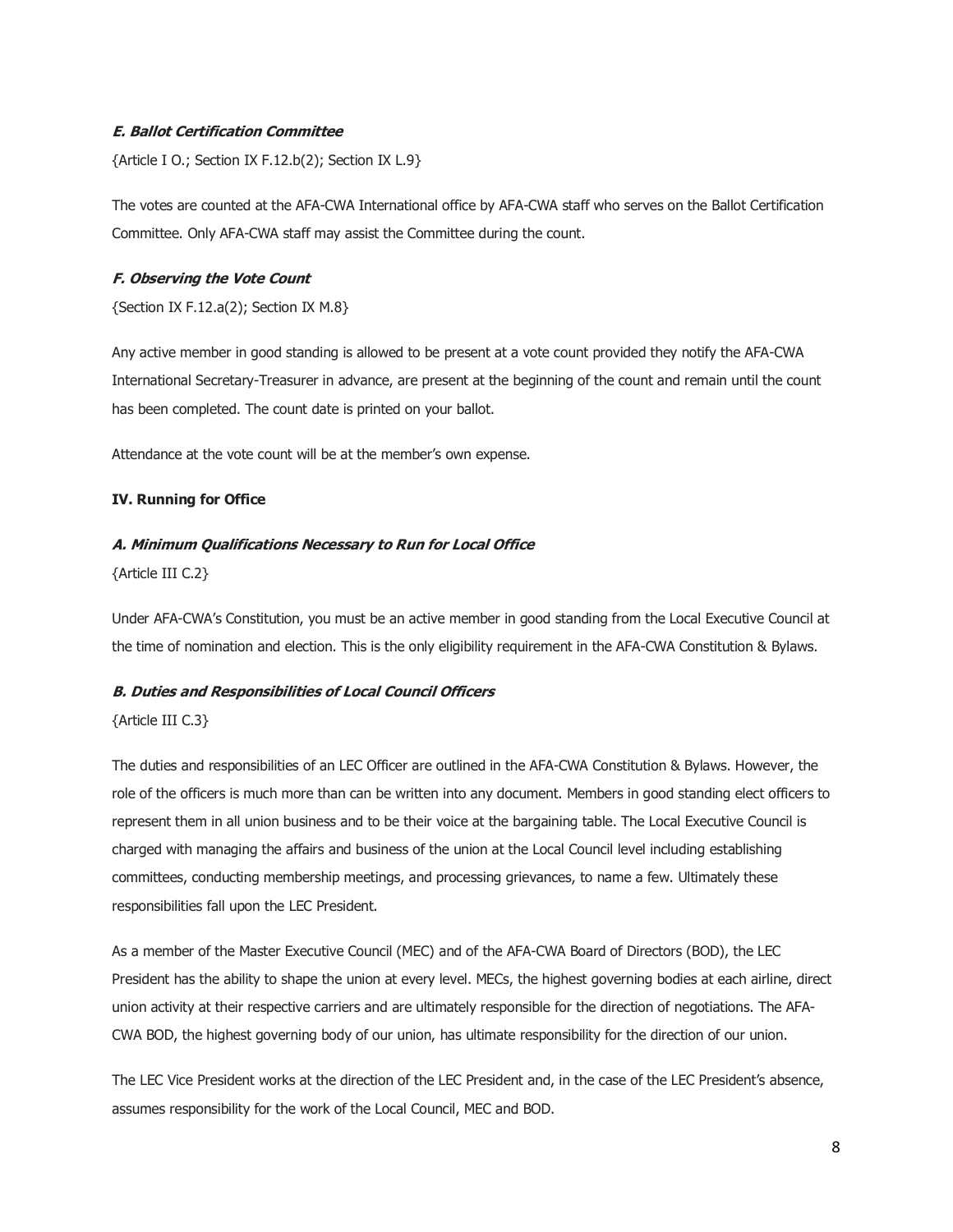# **E. Ballot Certification Committee**

{Article I O.; Section IX F.12.b(2); Section IX L.9}

The votes are counted at the AFA-CWA International office by AFA-CWA staff who serves on the Ballot Certification Committee. Only AFA-CWA staff may assist the Committee during the count.

# **F. Observing the Vote Count**

{Section IX F.12.a(2); Section IX M.8}

Any active member in good standing is allowed to be present at a vote count provided they notify the AFA-CWA International Secretary-Treasurer in advance, are present at the beginning of the count and remain until the count has been completed. The count date is printed on your ballot.

Attendance at the vote count will be at the member's own expense.

# **IV. Running for Office**

# **A. Minimum Qualifications Necessary to Run for Local Office**

{Article III C.2}

Under AFA-CWA's Constitution, you must be an active member in good standing from the Local Executive Council at the time of nomination and election. This is the only eligibility requirement in the AFA-CWA Constitution & Bylaws.

# **B. Duties and Responsibilities of Local Council Officers**

# {Article III C.3}

The duties and responsibilities of an LEC Officer are outlined in the AFA-CWA Constitution & Bylaws. However, the role of the officers is much more than can be written into any document. Members in good standing elect officers to represent them in all union business and to be their voice at the bargaining table. The Local Executive Council is charged with managing the affairs and business of the union at the Local Council level including establishing committees, conducting membership meetings, and processing grievances, to name a few. Ultimately these responsibilities fall upon the LEC President.

As a member of the Master Executive Council (MEC) and of the AFA-CWA Board of Directors (BOD), the LEC President has the ability to shape the union at every level. MECs, the highest governing bodies at each airline, direct union activity at their respective carriers and are ultimately responsible for the direction of negotiations. The AFA-CWA BOD, the highest governing body of our union, has ultimate responsibility for the direction of our union.

The LEC Vice President works at the direction of the LEC President and, in the case of the LEC President's absence, assumes responsibility for the work of the Local Council, MEC and BOD.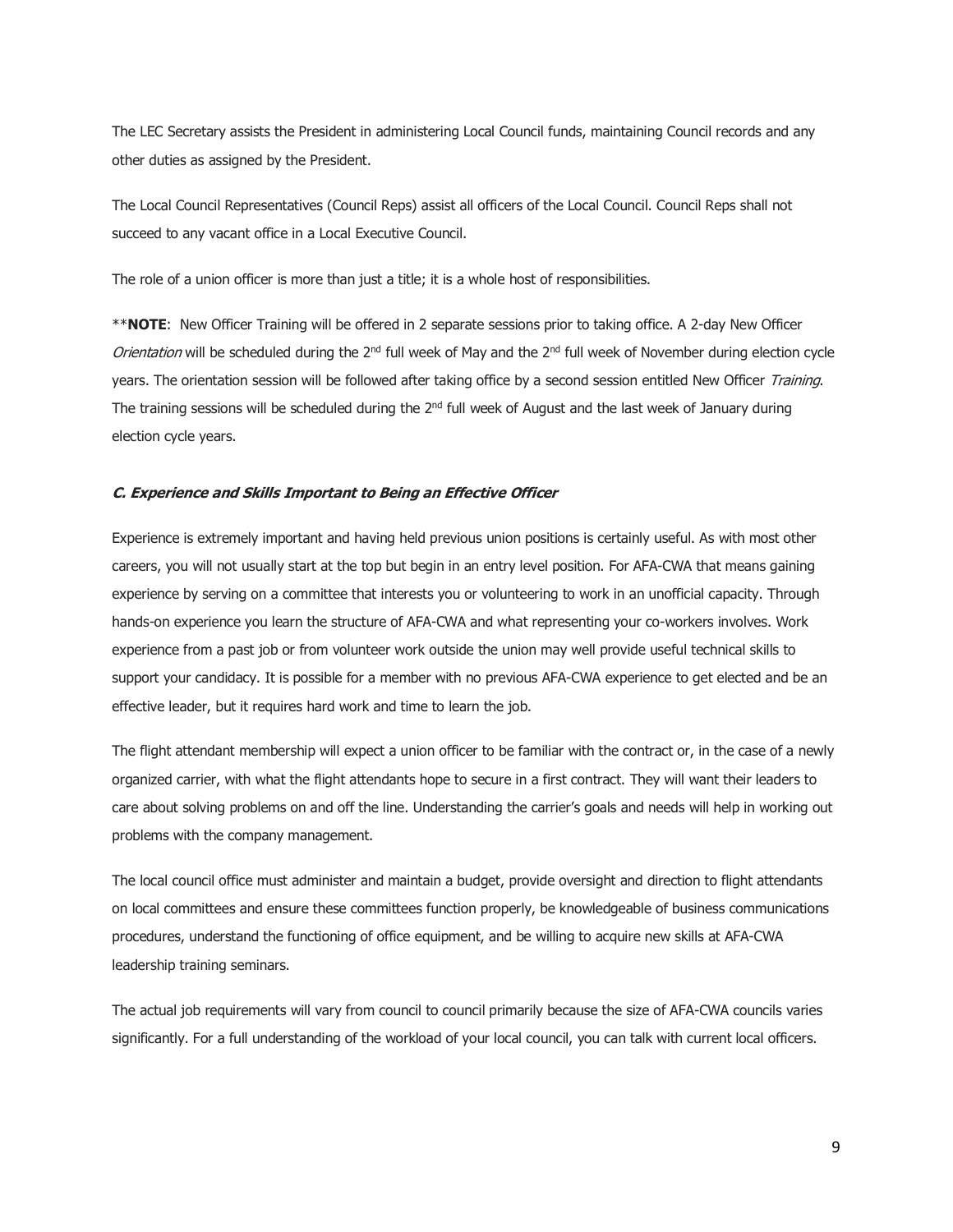The LEC Secretary assists the President in administering Local Council funds, maintaining Council records and any other duties as assigned by the President.

The Local Council Representatives (Council Reps) assist all officers of the Local Council. Council Reps shall not succeed to any vacant office in a Local Executive Council.

The role of a union officer is more than just a title; it is a whole host of responsibilities.

\*\***NOTE**: New Officer Training will be offered in 2 separate sessions prior to taking office. A 2-day New Officer Orientation will be scheduled during the 2<sup>nd</sup> full week of May and the 2<sup>nd</sup> full week of November during election cycle years. The orientation session will be followed after taking office by a second session entitled New Officer Training. The training sessions will be scheduled during the  $2<sup>nd</sup>$  full week of August and the last week of January during election cycle years.

#### **C. Experience and Skills Important to Being an Effective Officer**

Experience is extremely important and having held previous union positions is certainly useful. As with most other careers, you will not usually start at the top but begin in an entry level position. For AFA-CWA that means gaining experience by serving on a committee that interests you or volunteering to work in an unofficial capacity. Through hands-on experience you learn the structure of AFA-CWA and what representing your co-workers involves. Work experience from a past job or from volunteer work outside the union may well provide useful technical skills to support your candidacy. It is possible for a member with no previous AFA-CWA experience to get elected and be an effective leader, but it requires hard work and time to learn the job.

The flight attendant membership will expect a union officer to be familiar with the contract or, in the case of a newly organized carrier, with what the flight attendants hope to secure in a first contract. They will want their leaders to care about solving problems on and off the line. Understanding the carrier's goals and needs will help in working out problems with the company management.

The local council office must administer and maintain a budget, provide oversight and direction to flight attendants on local committees and ensure these committees function properly, be knowledgeable of business communications procedures, understand the functioning of office equipment, and be willing to acquire new skills at AFA-CWA leadership training seminars.

The actual job requirements will vary from council to council primarily because the size of AFA-CWA councils varies significantly. For a full understanding of the workload of your local council, you can talk with current local officers.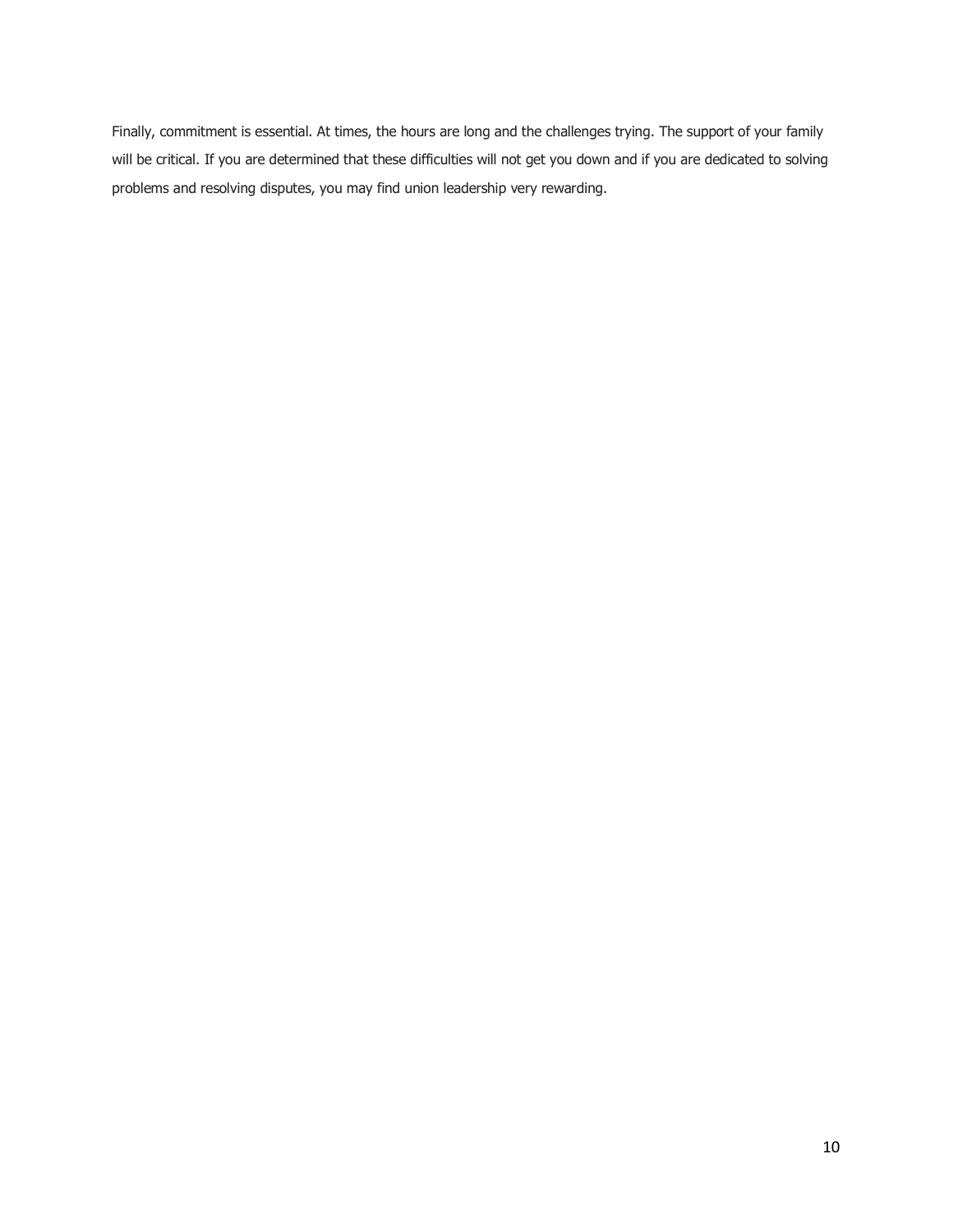Finally, commitment is essential. At times, the hours are long and the challenges trying. The support of your family will be critical. If you are determined that these difficulties will not get you down and if you are dedicated to solving problems and resolving disputes, you may find union leadership very rewarding.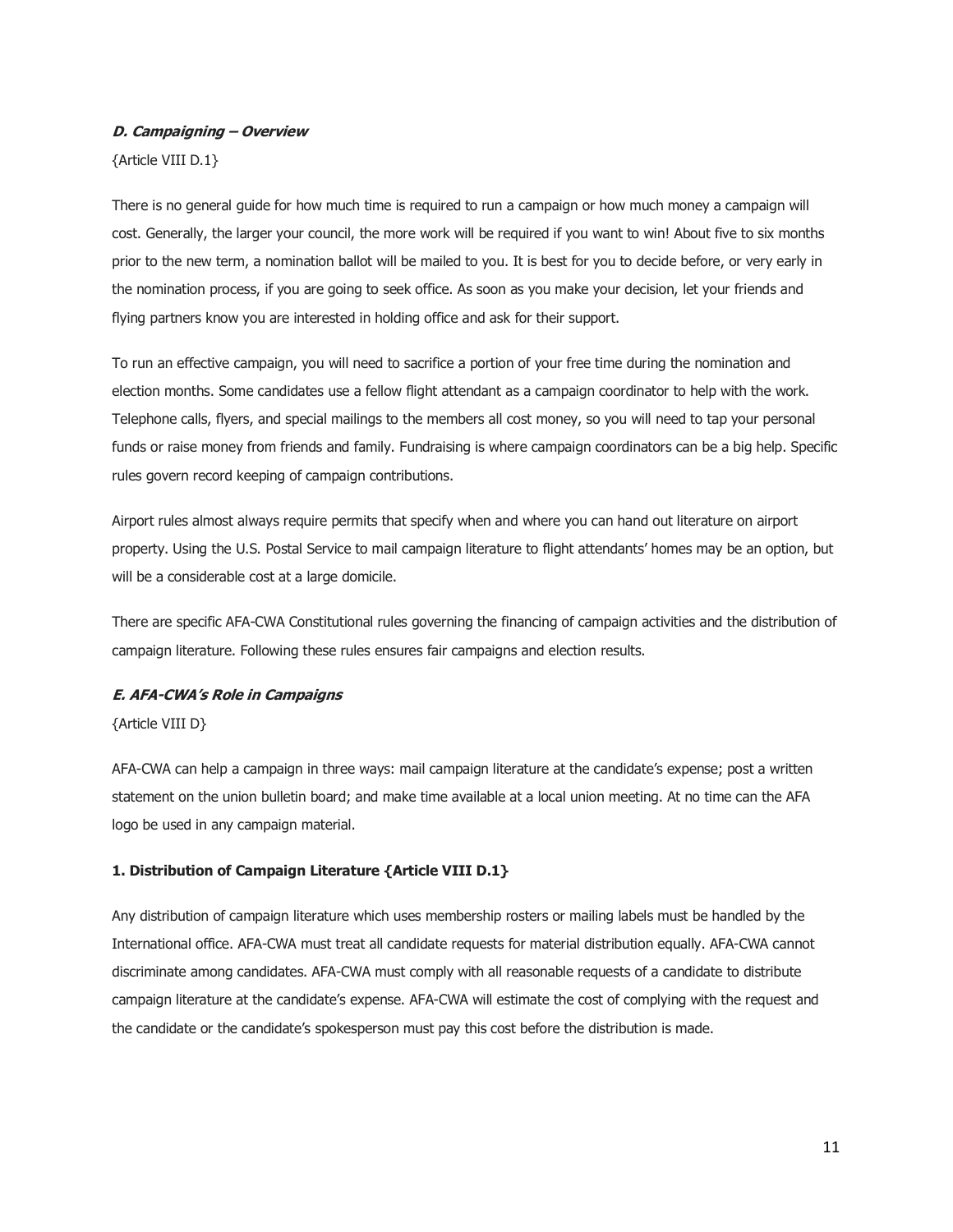## **D. Campaigning – Overview**

{Article VIII D.1}

There is no general guide for how much time is required to run a campaign or how much money a campaign will cost. Generally, the larger your council, the more work will be required if you want to win! About five to six months prior to the new term, a nomination ballot will be mailed to you. It is best for you to decide before, or very early in the nomination process, if you are going to seek office. As soon as you make your decision, let your friends and flying partners know you are interested in holding office and ask for their support.

To run an effective campaign, you will need to sacrifice a portion of your free time during the nomination and election months. Some candidates use a fellow flight attendant as a campaign coordinator to help with the work. Telephone calls, flyers, and special mailings to the members all cost money, so you will need to tap your personal funds or raise money from friends and family. Fundraising is where campaign coordinators can be a big help. Specific rules govern record keeping of campaign contributions.

Airport rules almost always require permits that specify when and where you can hand out literature on airport property. Using the U.S. Postal Service to mail campaign literature to flight attendants' homes may be an option, but will be a considerable cost at a large domicile.

There are specific AFA-CWA Constitutional rules governing the financing of campaign activities and the distribution of campaign literature. Following these rules ensures fair campaigns and election results.

## **E. AFA-CWA's Role in Campaigns**

{Article VIII D}

AFA-CWA can help a campaign in three ways: mail campaign literature at the candidate's expense; post a written statement on the union bulletin board; and make time available at a local union meeting. At no time can the AFA logo be used in any campaign material.

# **1. Distribution of Campaign Literature {Article VIII D.1}**

Any distribution of campaign literature which uses membership rosters or mailing labels must be handled by the International office. AFA-CWA must treat all candidate requests for material distribution equally. AFA-CWA cannot discriminate among candidates. AFA-CWA must comply with all reasonable requests of a candidate to distribute campaign literature at the candidate's expense. AFA-CWA will estimate the cost of complying with the request and the candidate or the candidate's spokesperson must pay this cost before the distribution is made.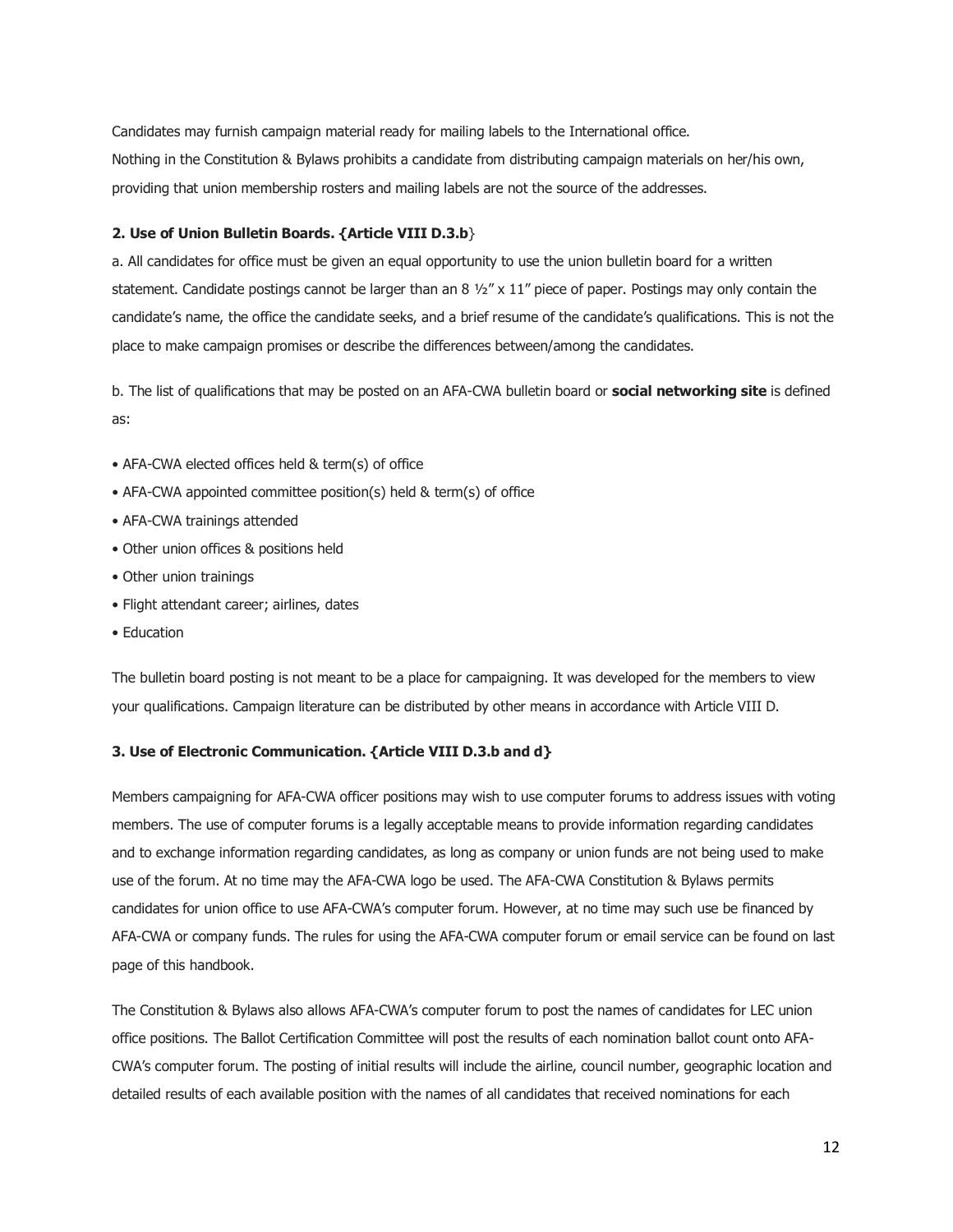Candidates may furnish campaign material ready for mailing labels to the International office. Nothing in the Constitution & Bylaws prohibits a candidate from distributing campaign materials on her/his own, providing that union membership rosters and mailing labels are not the source of the addresses.

## **2. Use of Union Bulletin Boards. {Article VIII D.3.b**}

a. All candidates for office must be given an equal opportunity to use the union bulletin board for a written statement. Candidate postings cannot be larger than an 8  $\frac{1}{2}$  x 11" piece of paper. Postings may only contain the candidate's name, the office the candidate seeks, and a brief resume of the candidate's qualifications. This is not the place to make campaign promises or describe the differences between/among the candidates.

b. The list of qualifications that may be posted on an AFA-CWA bulletin board or **social networking site** is defined as:

- AFA-CWA elected offices held & term(s) of office
- AFA-CWA appointed committee position(s) held & term(s) of office
- AFA-CWA trainings attended
- Other union offices & positions held
- Other union trainings
- Flight attendant career; airlines, dates
- Education

The bulletin board posting is not meant to be a place for campaigning. It was developed for the members to view your qualifications. Campaign literature can be distributed by other means in accordance with Article VIII D.

# **3. Use of Electronic Communication. {Article VIII D.3.b and d}**

Members campaigning for AFA-CWA officer positions may wish to use computer forums to address issues with voting members. The use of computer forums is a legally acceptable means to provide information regarding candidates and to exchange information regarding candidates, as long as company or union funds are not being used to make use of the forum. At no time may the AFA-CWA logo be used. The AFA-CWA Constitution & Bylaws permits candidates for union office to use AFA-CWA's computer forum. However, at no time may such use be financed by AFA-CWA or company funds. The rules for using the AFA-CWA computer forum or email service can be found on last page of this handbook.

The Constitution & Bylaws also allows AFA-CWA's computer forum to post the names of candidates for LEC union office positions. The Ballot Certification Committee will post the results of each nomination ballot count onto AFA-CWA's computer forum. The posting of initial results will include the airline, council number, geographic location and detailed results of each available position with the names of all candidates that received nominations for each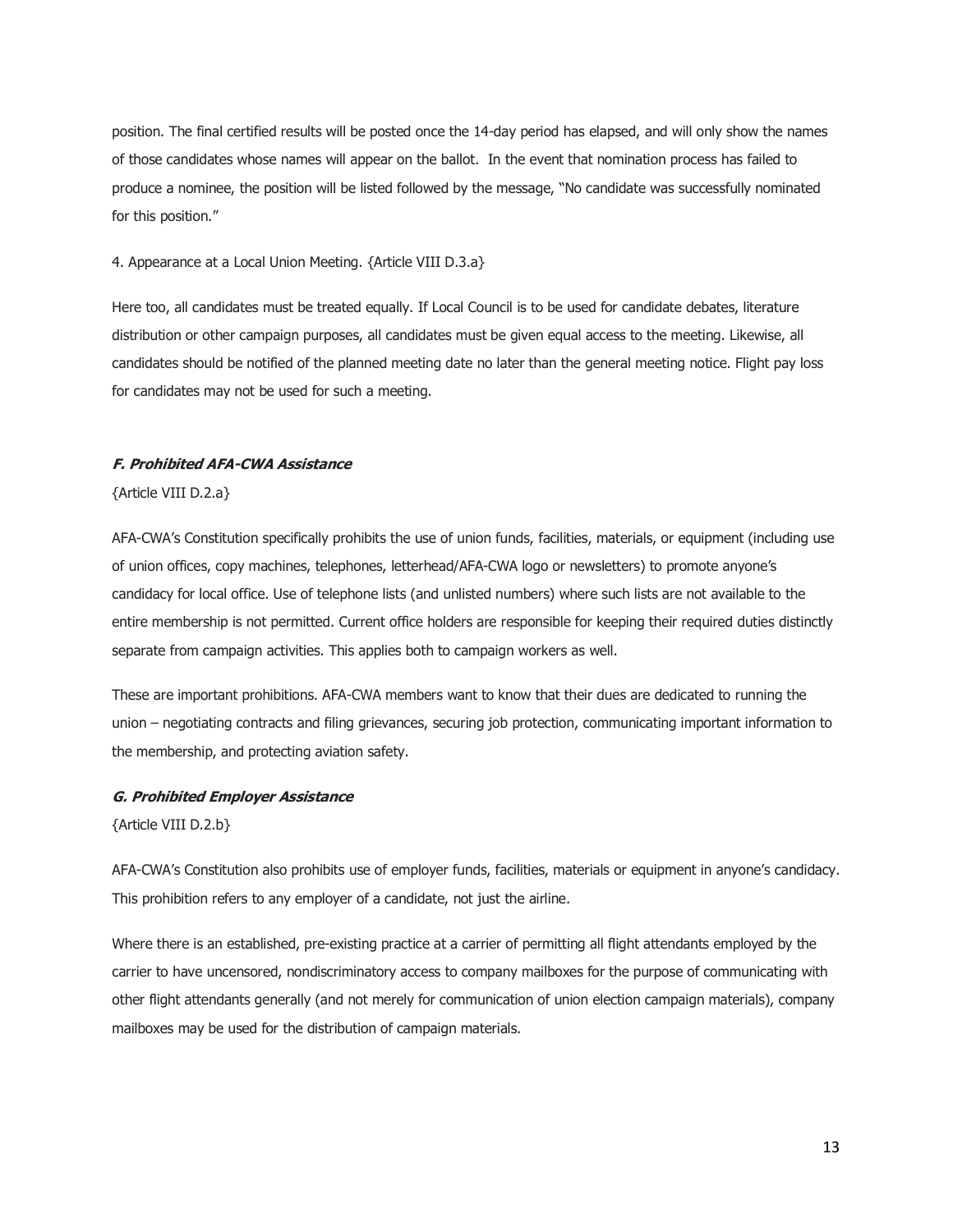position. The final certified results will be posted once the 14-day period has elapsed, and will only show the names of those candidates whose names will appear on the ballot. In the event that nomination process has failed to produce a nominee, the position will be listed followed by the message, "No candidate was successfully nominated for this position."

#### 4. Appearance at a Local Union Meeting. {Article VIII D.3.a}

Here too, all candidates must be treated equally. If Local Council is to be used for candidate debates, literature distribution or other campaign purposes, all candidates must be given equal access to the meeting. Likewise, all candidates should be notified of the planned meeting date no later than the general meeting notice. Flight pay loss for candidates may not be used for such a meeting.

# **F. Prohibited AFA-CWA Assistance**

{Article VIII D.2.a}

AFA-CWA's Constitution specifically prohibits the use of union funds, facilities, materials, or equipment (including use of union offices, copy machines, telephones, letterhead/AFA-CWA logo or newsletters) to promote anyone's candidacy for local office. Use of telephone lists (and unlisted numbers) where such lists are not available to the entire membership is not permitted. Current office holders are responsible for keeping their required duties distinctly separate from campaign activities. This applies both to campaign workers as well.

These are important prohibitions. AFA-CWA members want to know that their dues are dedicated to running the union – negotiating contracts and filing grievances, securing job protection, communicating important information to the membership, and protecting aviation safety.

#### **G. Prohibited Employer Assistance**

{Article VIII D.2.b}

AFA-CWA's Constitution also prohibits use of employer funds, facilities, materials or equipment in anyone's candidacy. This prohibition refers to any employer of a candidate, not just the airline.

Where there is an established, pre-existing practice at a carrier of permitting all flight attendants employed by the carrier to have uncensored, nondiscriminatory access to company mailboxes for the purpose of communicating with other flight attendants generally (and not merely for communication of union election campaign materials), company mailboxes may be used for the distribution of campaign materials.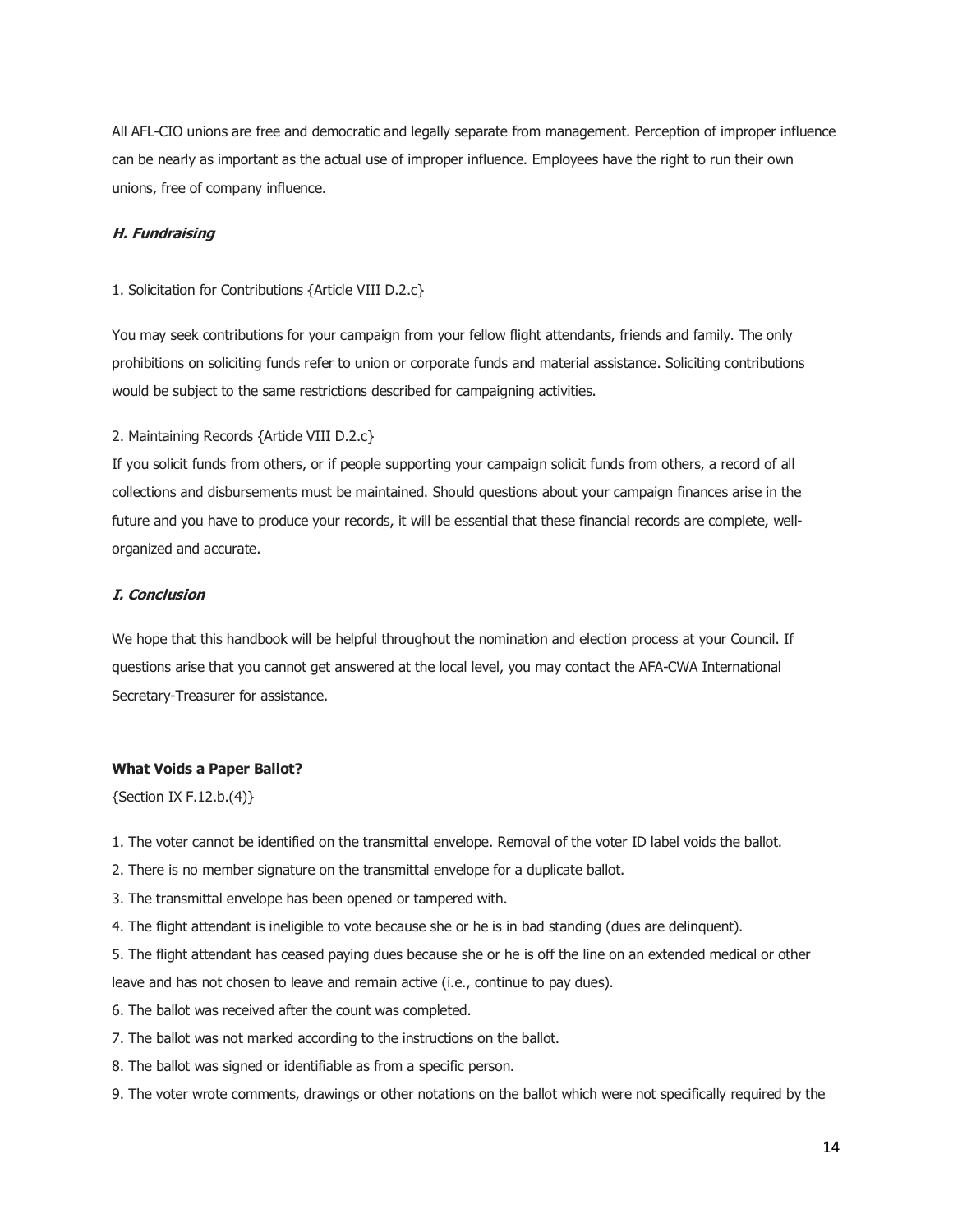All AFL-CIO unions are free and democratic and legally separate from management. Perception of improper influence can be nearly as important as the actual use of improper influence. Employees have the right to run their own unions, free of company influence.

## **H. Fundraising**

#### 1. Solicitation for Contributions {Article VIII D.2.c}

You may seek contributions for your campaign from your fellow flight attendants, friends and family. The only prohibitions on soliciting funds refer to union or corporate funds and material assistance. Soliciting contributions would be subject to the same restrictions described for campaigning activities.

# 2. Maintaining Records {Article VIII D.2.c}

If you solicit funds from others, or if people supporting your campaign solicit funds from others, a record of all collections and disbursements must be maintained. Should questions about your campaign finances arise in the future and you have to produce your records, it will be essential that these financial records are complete, wellorganized and accurate.

## **I. Conclusion**

We hope that this handbook will be helpful throughout the nomination and election process at your Council. If questions arise that you cannot get answered at the local level, you may contact the AFA-CWA International Secretary-Treasurer for assistance.

# **What Voids a Paper Ballot?**

{Section IX F.12.b.(4)}

- 1. The voter cannot be identified on the transmittal envelope. Removal of the voter ID label voids the ballot.
- 2. There is no member signature on the transmittal envelope for a duplicate ballot.
- 3. The transmittal envelope has been opened or tampered with.
- 4. The flight attendant is ineligible to vote because she or he is in bad standing (dues are delinquent).

5. The flight attendant has ceased paying dues because she or he is off the line on an extended medical or other leave and has not chosen to leave and remain active (i.e., continue to pay dues).

- 6. The ballot was received after the count was completed.
- 7. The ballot was not marked according to the instructions on the ballot.
- 8. The ballot was signed or identifiable as from a specific person.
- 9. The voter wrote comments, drawings or other notations on the ballot which were not specifically required by the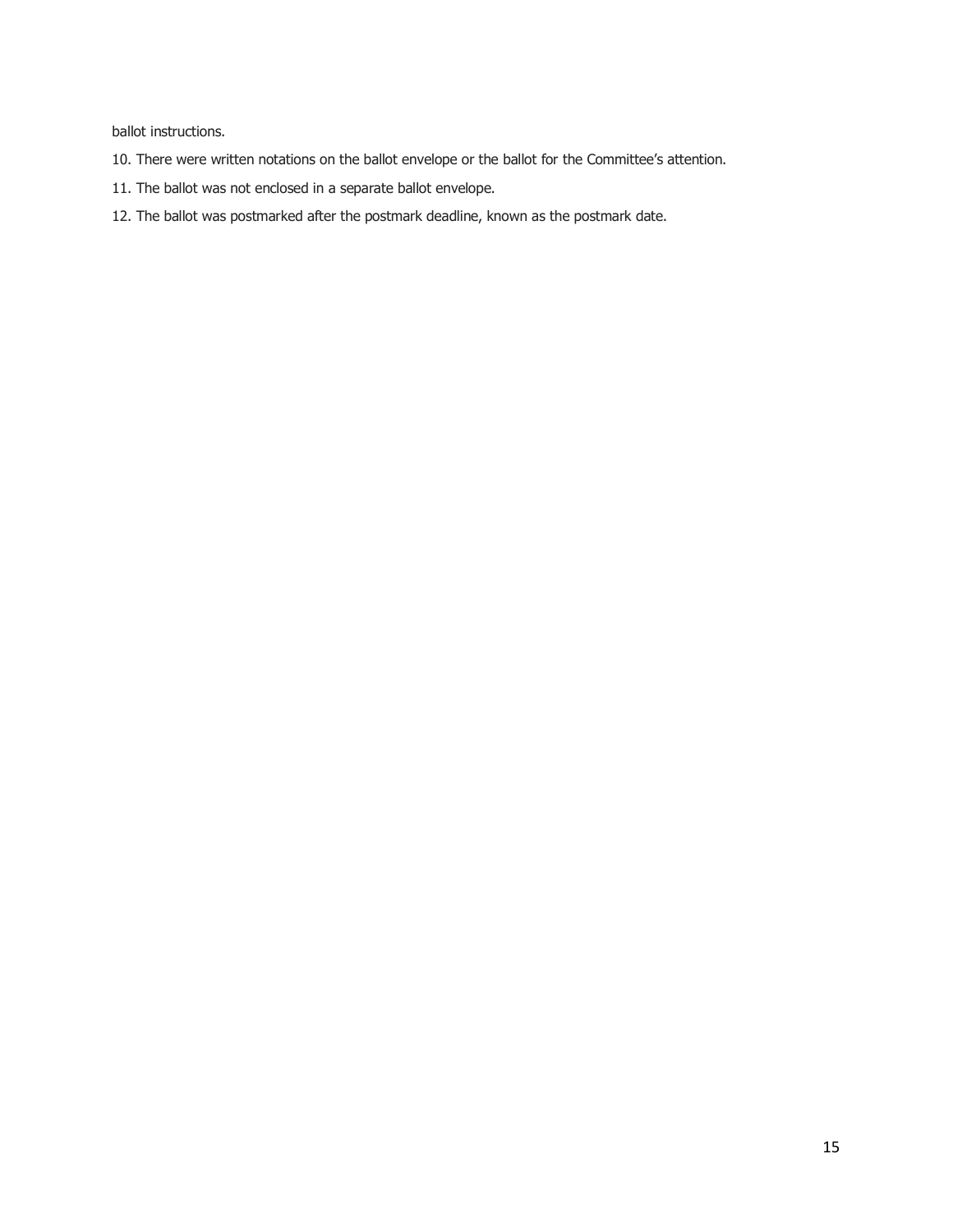ballot instructions.

- 10. There were written notations on the ballot envelope or the ballot for the Committee's attention.
- 11. The ballot was not enclosed in a separate ballot envelope.
- 12. The ballot was postmarked after the postmark deadline, known as the postmark date.